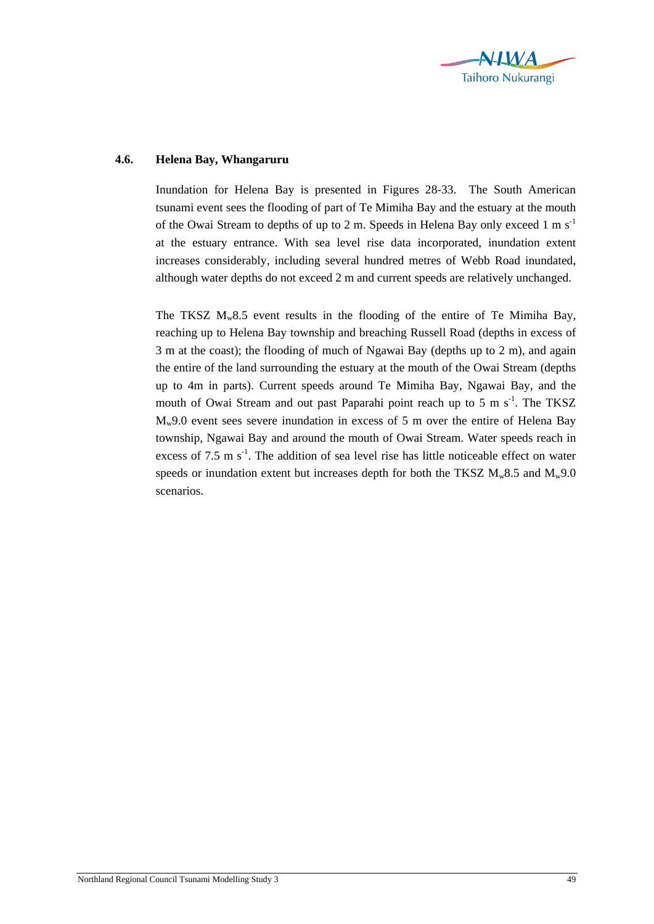

## **4.6. Helena Bay, Whangaruru**

Inundation for Helena Bay is presented in Figures 28-33. The South American tsunami event sees the flooding of part of Te Mimiha Bay and the estuary at the mouth of the Owai Stream to depths of up to 2 m. Speeds in Helena Bay only exceed 1 m  $s^{-1}$ at the estuary entrance. With sea level rise data incorporated, inundation extent increases considerably, including several hundred metres of Webb Road inundated, although water depths do not exceed 2 m and current speeds are relatively unchanged.

The TKSZ  $M_w 8.5$  event results in the flooding of the entire of Te Mimiha Bay, reaching up to Helena Bay township and breaching Russell Road (depths in excess of 3 m at the coast); the flooding of much of Ngawai Bay (depths up to 2 m), and again the entire of the land surrounding the estuary at the mouth of the Owai Stream (depths up to 4m in parts). Current speeds around Te Mimiha Bay, Ngawai Bay, and the mouth of Owai Stream and out past Paparahi point reach up to 5 m  $s^{-1}$ . The TKSZ  $M_{w}9.0$  event sees severe inundation in excess of 5 m over the entire of Helena Bay township, Ngawai Bay and around the mouth of Owai Stream. Water speeds reach in excess of 7.5 m  $s<sup>-1</sup>$ . The addition of sea level rise has little noticeable effect on water speeds or inundation extent but increases depth for both the TKSZ  $M_w 8.5$  and  $M_w 9.0$ scenarios.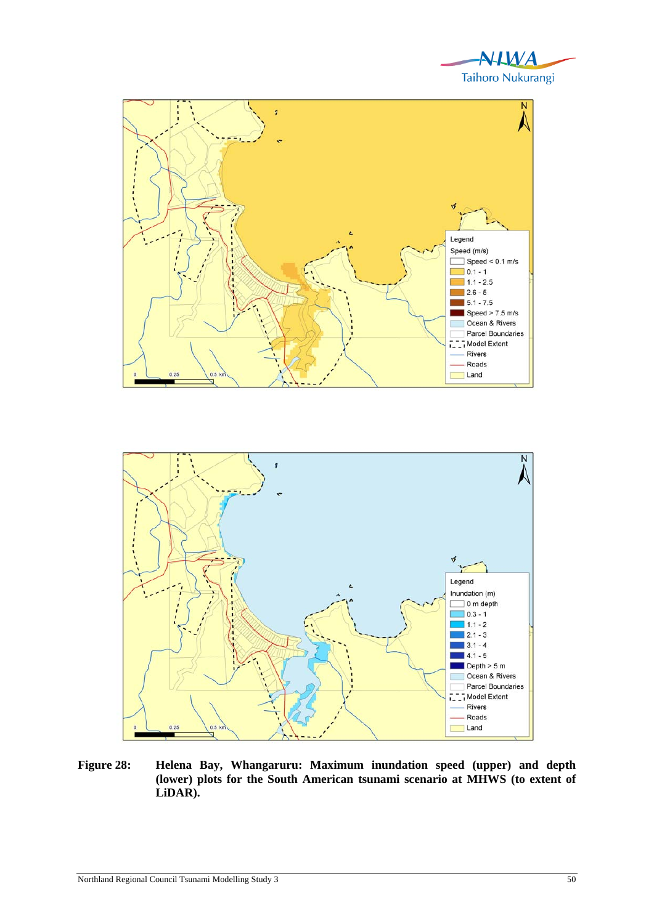





**Figure 28: Helena Bay, Whangaruru: Maximum inundation speed (upper) and depth (lower) plots for the South American tsunami scenario at MHWS (to extent of LiDAR).**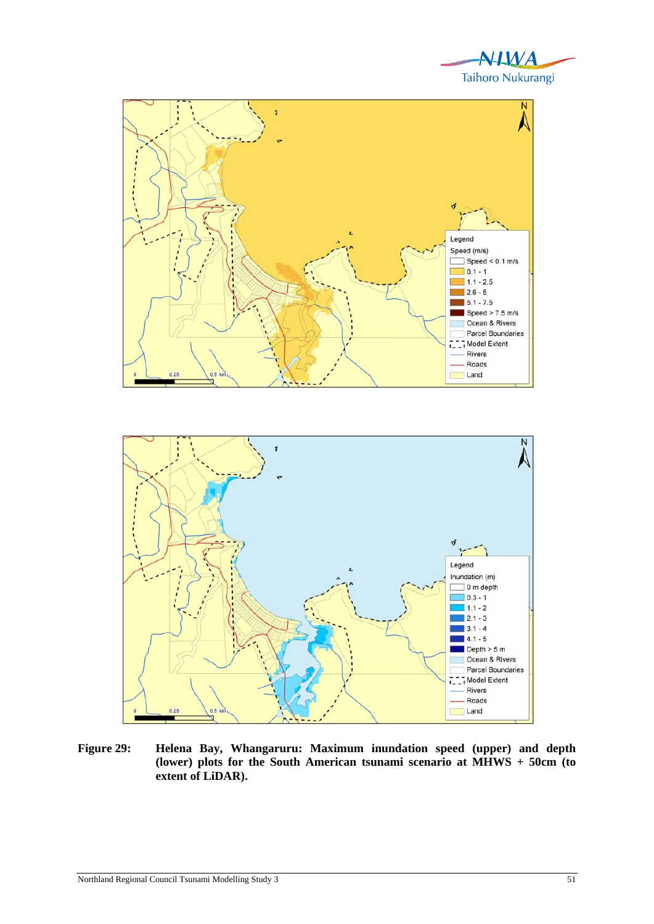



**Figure 29: Helena Bay, Whangaruru: Maximum inundation speed (upper) and depth (lower) plots for the South American tsunami scenario at MHWS + 50cm (to extent of LiDAR).**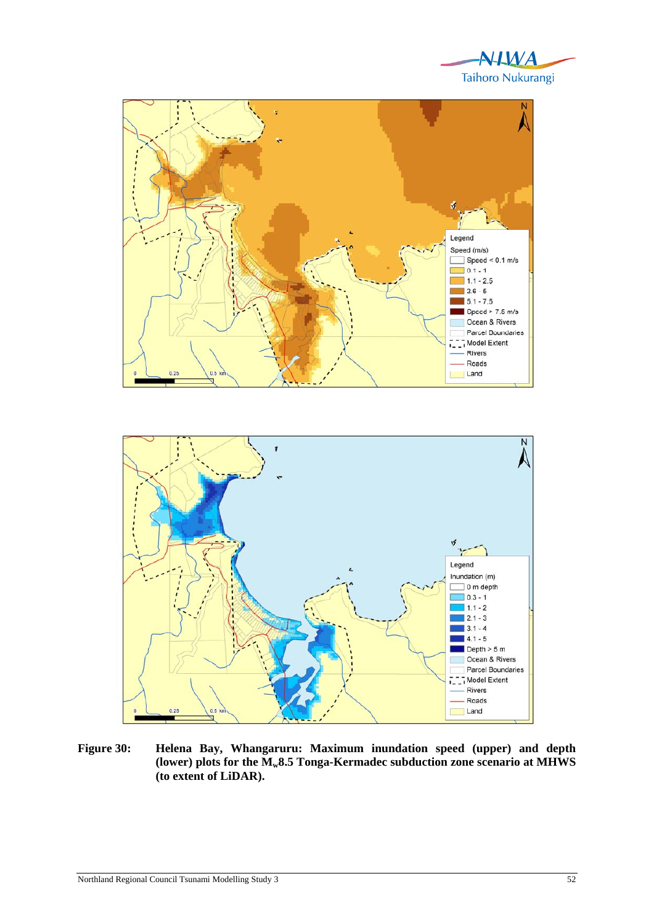



**Figure 30: Helena Bay, Whangaruru: Maximum inundation speed (upper) and depth**  (lower) plots for the  $\overline{M_w}8.5$  Tonga-Kermadec subduction zone scenario at MHWS **(to extent of LiDAR).**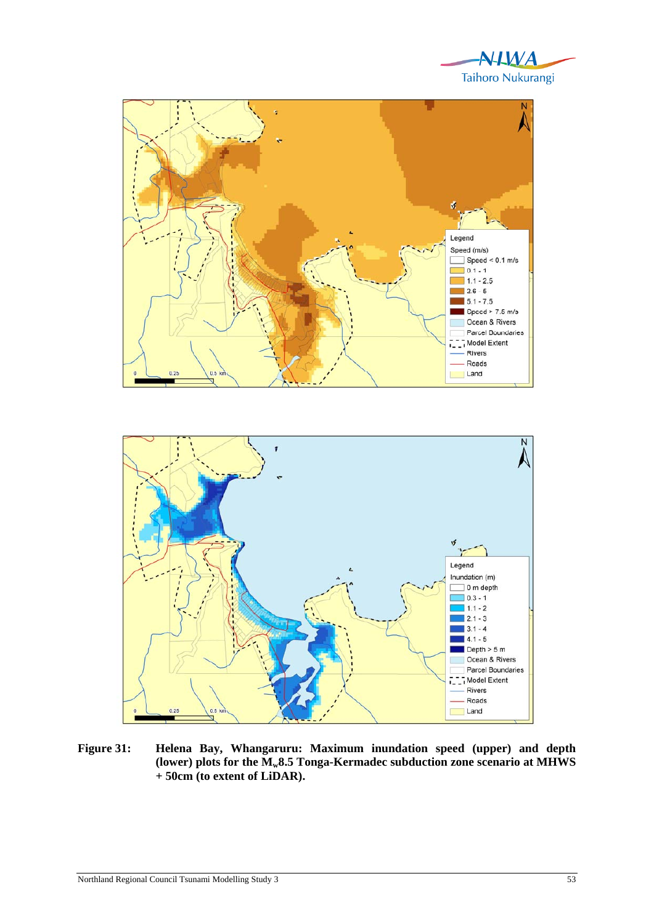





**Figure 31: Helena Bay, Whangaruru: Maximum inundation speed (upper) and depth (lower) plots for the Mw8.5 Tonga-Kermadec subduction zone scenario at MHWS + 50cm (to extent of LiDAR).**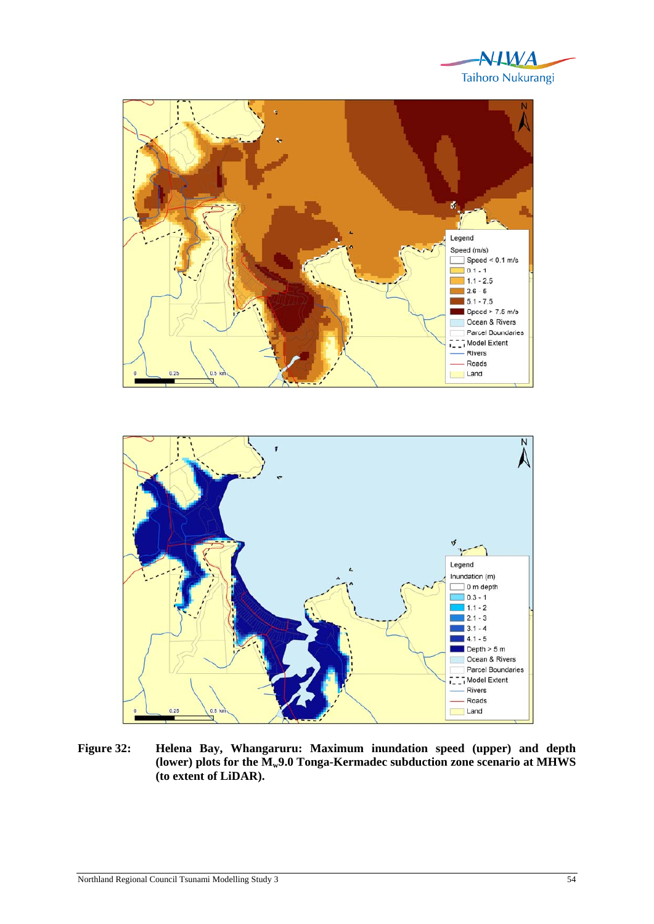





**Figure 32: Helena Bay, Whangaruru: Maximum inundation speed (upper) and depth**  (lower) plots for the  $\mathbf{M}_{w}$ 9.0 Tonga-Kermadec subduction zone scenario at MHWS **(to extent of LiDAR).**